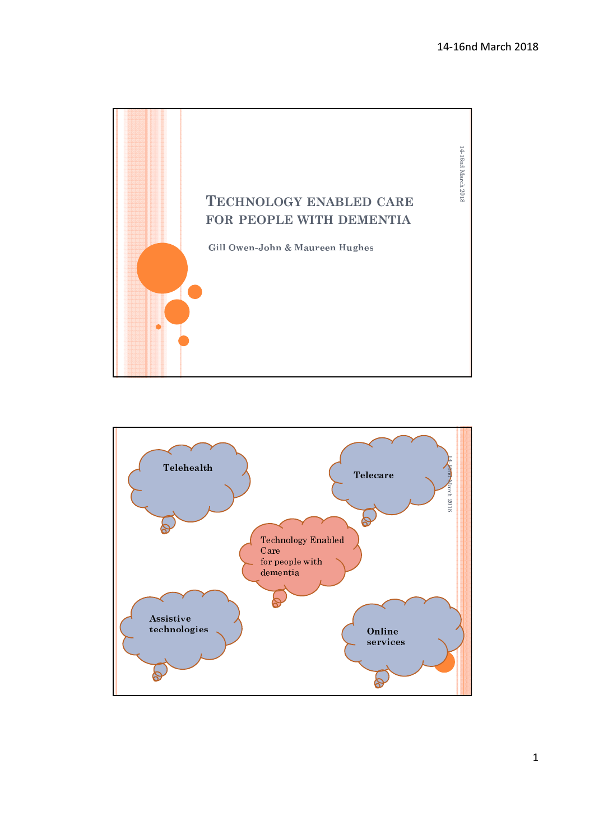

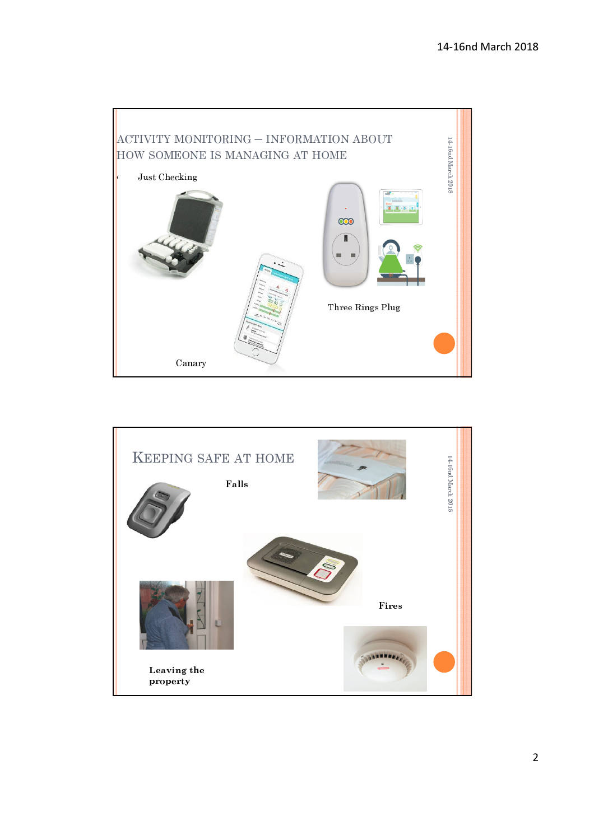

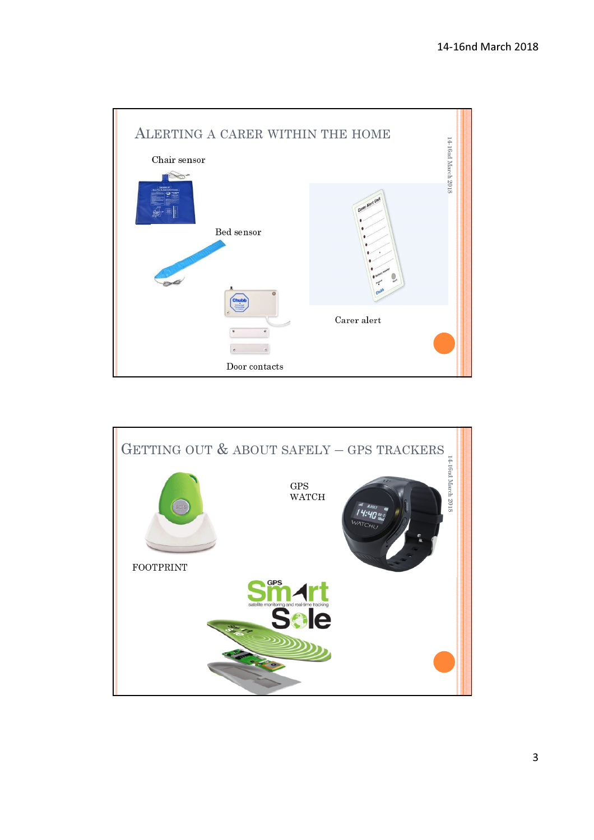

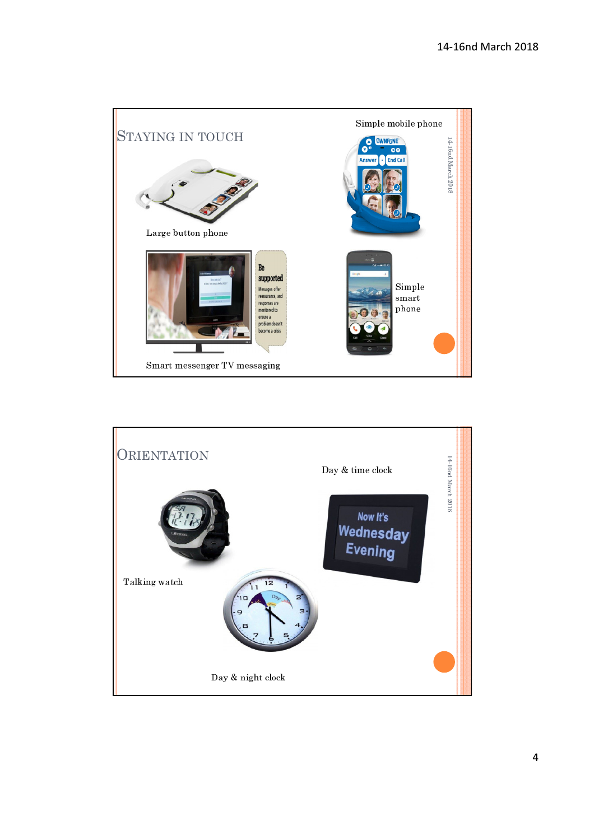

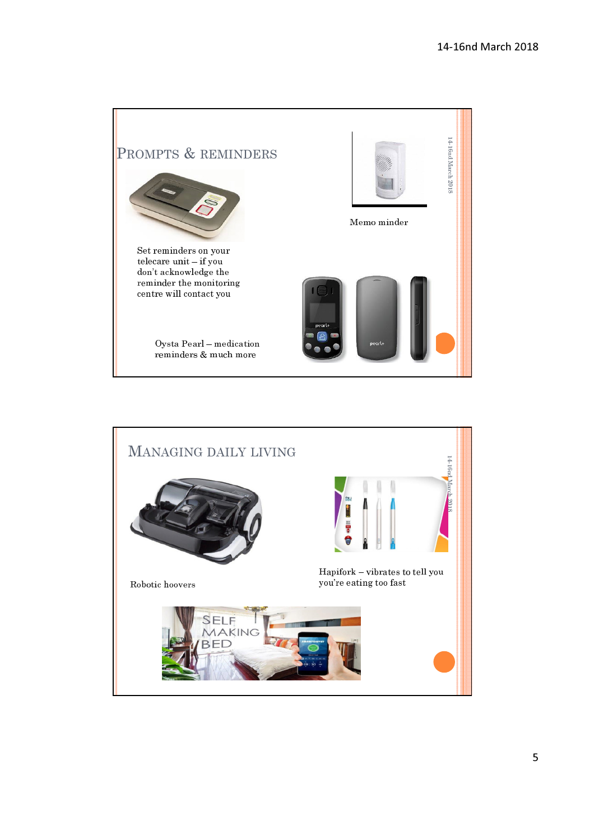

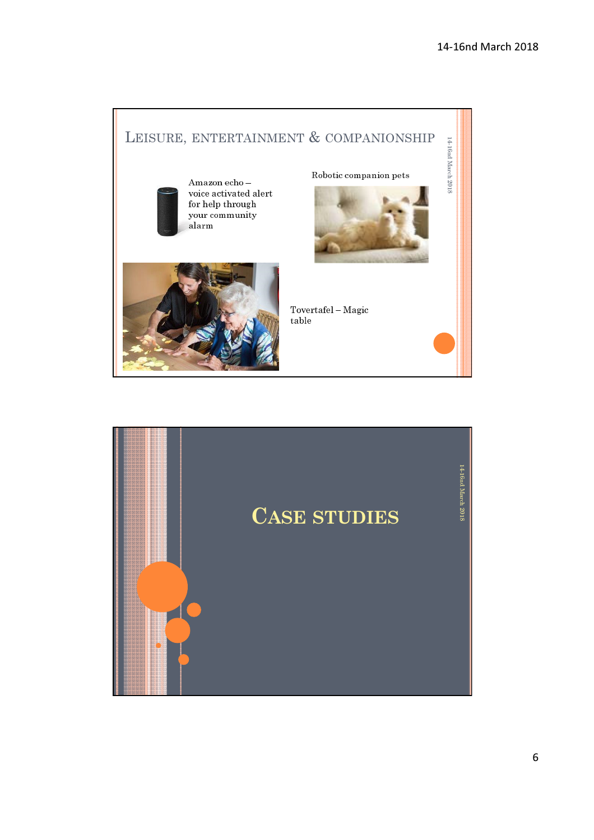

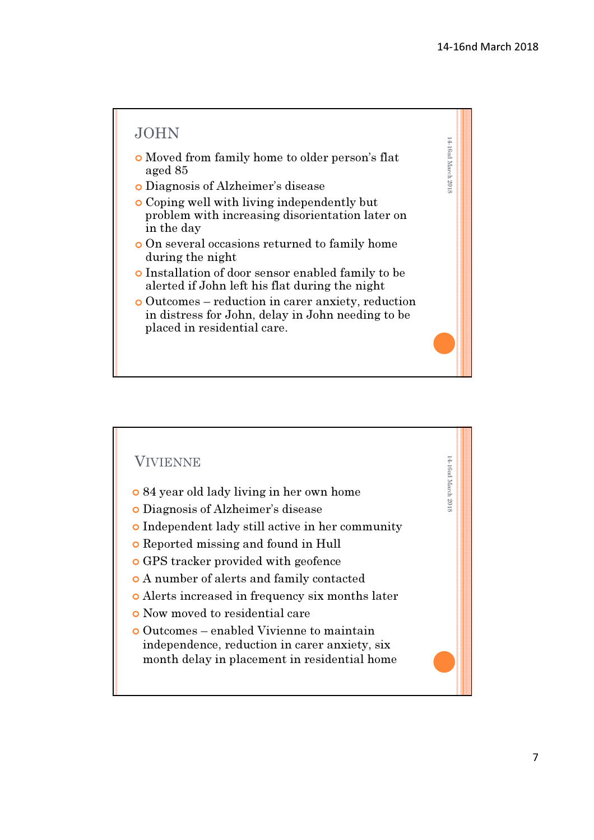4 - 16nd March 2011<br>4 - 16nd March 2011

4 - 16nd March 2011<br>4 - 16nd March 2011

## JOHN

- o Moved from family home to older person's flat aged 85
- j Diagnosis of Alzheimer's disease
- o Coping well with living independently but problem with increasing disorientation later on in the day
- o On several occasions returned to family home during the night
- **o** Installation of door sensor enabled family to be alerted if John left his flat during the night
- j Outcomes reduction in carer anxiety, reduction in distress for John, delay in John needing to be placed in residential care.

## VIVIENNE

- o 84 year old lady living in her own home
- j Diagnosis of Alzheimer's disease
- o Independent lady still active in her community
- o Reported missing and found in Hull
- o GPS tracker provided with geofence
- o A number of alerts and family contacted
- o Alerts increased in frequency six months later
- **o** Now moved to residential care
- j Outcomes enabled Vivienne to maintain independence, reduction in carer anxiety, six month delay in placement in residential home